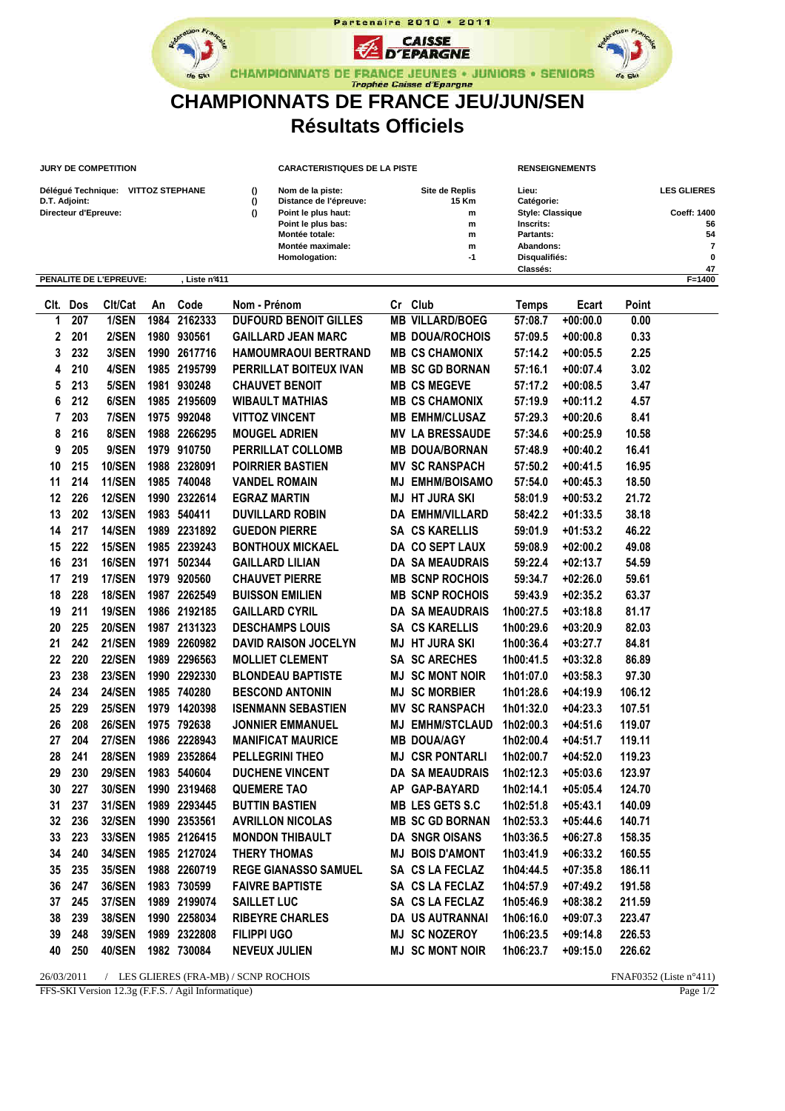|        | Partenaire 2010 . 2011                                |        |
|--------|-------------------------------------------------------|--------|
|        | CAISSE D'EPARGNE                                      |        |
| de Ski | <b>NICE NEUNISS &amp;</b><br>Trophée Caisse d'Eparque | do Ski |
|        | <b>CHAMPIONNATS DE FRANCE JEU/JUN/SEN</b>             |        |
|        | <b>Résultats Officiels</b>                            |        |

Partenaire 2010 . 2011

| <b>JURY DE COMPETITION</b>                          | <b>CARACTERISTIQUES DE LA PISTE</b>        |                                | <b>RENSEIGNEMENTS</b>   |                    |  |
|-----------------------------------------------------|--------------------------------------------|--------------------------------|-------------------------|--------------------|--|
| Délégué Technique: VITTOZ STEPHANE<br>D.T. Adjoint: | Nom de la piste:<br>Distance de l'épreuve: | <b>Site de Replis</b><br>15 Km | Lieu:<br>Catégorie:     | <b>LES GLIERES</b> |  |
| Directeur d'Epreuve:                                | Point le plus haut:                        | m                              | <b>Style: Classique</b> | Coeff: 1400        |  |
|                                                     | Point le plus bas:                         | m                              | Inscrits:               | 56                 |  |
|                                                     | Montée totale:                             | m                              | Partants:               | 54                 |  |
|                                                     | Montée maximale:                           | m                              | Abandons:               |                    |  |
|                                                     | Homologation:                              | -1                             | Disqualifiés:           | 0                  |  |
|                                                     |                                            |                                | Classés:                | 47                 |  |
| <b>PENALITE DE L'EPREUVE:</b><br>Liste n°411        |                                            |                                |                         | F=1400             |  |

|         | CIt. Dos | Clt/Cat       | An Code      | Nom - Prénom                           | Cr Club                | <b>Temps</b> | Ecart      | Point                        |  |
|---------|----------|---------------|--------------|----------------------------------------|------------------------|--------------|------------|------------------------------|--|
| 1       | 207      | 1/SEN         | 1984 2162333 | <b>DUFOURD BENOIT GILLES</b>           | <b>MB VILLARD/BOEG</b> | 57:08.7      | $+00:00.0$ | 0.00                         |  |
| 2       | 201      | 2/SEN         | 1980 930561  | <b>GAILLARD JEAN MARC</b>              | <b>MB DOUA/ROCHOIS</b> | 57:09.5      | $+00:00.8$ | 0.33                         |  |
| 3       | 232      | 3/SEN         | 1990 2617716 | <b>HAMOUMRAOUI BERTRAND</b>            | <b>MB CS CHAMONIX</b>  | 57:14.2      | $+00:05.5$ | 2.25                         |  |
| 4       | 210      | 4/SEN         | 1985 2195799 | PERRILLAT BOITEUX IVAN                 | <b>MB SC GD BORNAN</b> | 57:16.1      | $+00:07.4$ | 3.02                         |  |
| 5       | 213      | 5/SEN         | 1981 930248  | <b>CHAUVET BENOIT</b>                  | <b>MB CS MEGEVE</b>    | 57:17.2      | $+00:08.5$ | 3.47                         |  |
| 6       | 212      | 6/SEN         | 1985 2195609 | <b>WIBAULT MATHIAS</b>                 | <b>MB CS CHAMONIX</b>  | 57:19.9      | +00:11.2   | 4.57                         |  |
| 7       | 203      | 7/SEN         | 1975 992048  | <b>VITTOZ VINCENT</b>                  | <b>MB EMHM/CLUSAZ</b>  | 57:29.3      | $+00:20.6$ | 8.41                         |  |
| 8       | 216      | 8/SEN         | 1988 2266295 | <b>MOUGEL ADRIEN</b>                   | <b>MV LA BRESSAUDE</b> | 57:34.6      | $+00:25.9$ | 10.58                        |  |
| 9       | 205      | 9/SEN         | 1979 910750  | PERRILLAT COLLOMB                      | <b>MB DOUA/BORNAN</b>  | 57:48.9      | $+00:40.2$ | 16.41                        |  |
| 10      | 215      | <b>10/SEN</b> | 1988 2328091 | <b>POIRRIER BASTIEN</b>                | <b>MV SC RANSPACH</b>  | 57:50.2      | $+00:41.5$ | 16.95                        |  |
| 11      | 214      | <b>11/SEN</b> | 1985 740048  | <b>VANDEL ROMAIN</b>                   | <b>MJ EMHM/BOISAMO</b> | 57:54.0      | $+00:45.3$ | 18.50                        |  |
| 12      | 226      | <b>12/SEN</b> | 1990 2322614 | <b>EGRAZ MARTIN</b>                    | <b>MJ HT JURA SKI</b>  | 58:01.9      | $+00:53.2$ | 21.72                        |  |
| 13      | 202      | <b>13/SEN</b> | 1983 540411  | <b>DUVILLARD ROBIN</b>                 | <b>DA EMHM/VILLARD</b> | 58:42.2      | $+01:33.5$ | 38.18                        |  |
| 14      | 217      | <b>14/SEN</b> | 1989 2231892 | <b>GUEDON PIERRE</b>                   | <b>SA CS KARELLIS</b>  | 59:01.9      | $+01:53.2$ | 46.22                        |  |
| 15      | 222      | <b>15/SEN</b> | 1985 2239243 | <b>BONTHOUX MICKAEL</b>                | DA CO SEPT LAUX        | 59:08.9      | +02:00.2   | 49.08                        |  |
| 16      | 231      | <b>16/SEN</b> | 1971 502344  | <b>GAILLARD LILIAN</b>                 | <b>DA SA MEAUDRAIS</b> | 59:22.4      | $+02:13.7$ | 54.59                        |  |
| 17      | 219      | <b>17/SEN</b> | 1979 920560  | <b>CHAUVET PIERRE</b>                  | <b>MB SCNP ROCHOIS</b> | 59:34.7      | $+02:26.0$ | 59.61                        |  |
| 18      | 228      | <b>18/SEN</b> | 1987 2262549 | <b>BUISSON EMILIEN</b>                 | <b>MB SCNP ROCHOIS</b> | 59:43.9      | $+02:35.2$ | 63.37                        |  |
| 19      | 211      | <b>19/SEN</b> | 1986 2192185 | <b>GAILLARD CYRIL</b>                  | <b>DA SA MEAUDRAIS</b> | 1h00:27.5    | $+03:18.8$ | 81.17                        |  |
| 20      | 225      | <b>20/SEN</b> | 1987 2131323 | <b>DESCHAMPS LOUIS</b>                 | <b>SA CS KARELLIS</b>  | 1h00:29.6    | $+03:20.9$ | 82.03                        |  |
| 21      | 242      | <b>21/SEN</b> | 1989 2260982 | <b>DAVID RAISON JOCELYN</b>            | <b>MJ HT JURA SKI</b>  | 1h00:36.4    | $+03:27.7$ | 84.81                        |  |
| 22      | 220      | <b>22/SEN</b> | 1989 2296563 | <b>MOLLIET CLEMENT</b>                 | SA SC ARECHES          | 1h00:41.5    | $+03:32.8$ | 86.89                        |  |
| 23      | 238      | <b>23/SEN</b> | 1990 2292330 | <b>BLONDEAU BAPTISTE</b>               | <b>MJ SC MONT NOIR</b> | 1h01:07.0    | $+03:58.3$ | 97.30                        |  |
| 24      | 234      | <b>24/SEN</b> | 1985 740280  | <b>BESCOND ANTONIN</b>                 | <b>MJ SC MORBIER</b>   | 1h01:28.6    | $+04:19.9$ | 106.12                       |  |
| 25      | 229      | <b>25/SEN</b> | 1979 1420398 | <b>ISENMANN SEBASTIEN</b>              | <b>MV SC RANSPACH</b>  | 1h01:32.0    | $+04:23.3$ | 107.51                       |  |
| 26      | 208      | <b>26/SEN</b> | 1975 792638  | <b>JONNIER EMMANUEL</b>                | <b>MJ EMHM/STCLAUD</b> | 1h02:00.3    | $+04:51.6$ | 119.07                       |  |
| 27      | 204      | <b>27/SEN</b> | 1986 2228943 | <b>MANIFICAT MAURICE</b>               | <b>MB DOUA/AGY</b>     | 1h02:00.4    | +04:51.7   | 119.11                       |  |
| 28      | 241      | <b>28/SEN</b> | 1989 2352864 | PELLEGRINI THEO                        | <b>MJ CSR PONTARLI</b> | 1h02:00.7    | $+04:52.0$ | 119.23                       |  |
| 29      | 230      | <b>29/SEN</b> | 1983 540604  | <b>DUCHENE VINCENT</b>                 | DA SA MEAUDRAIS        | 1h02:12.3    | $+05:03.6$ | 123.97                       |  |
| 30      | 227      | <b>30/SEN</b> | 1990 2319468 | <b>QUEMERE TAO</b>                     | AP GAP-BAYARD          | 1h02:14.1    | $+05:05.4$ | 124.70                       |  |
| 31      | 237      | <b>31/SEN</b> | 1989 2293445 | <b>BUTTIN BASTIEN</b>                  | <b>MB LES GETS S.C</b> | 1h02:51.8    | $+05:43.1$ | 140.09                       |  |
| 32      | 236      | <b>32/SEN</b> | 1990 2353561 | <b>AVRILLON NICOLAS</b>                | <b>MB SC GD BORNAN</b> | 1h02:53.3    | $+05:44.6$ | 140.71                       |  |
| 33      | 223      | 33/SEN        | 1985 2126415 | <b>MONDON THIBAULT</b>                 | <b>DA SNGR OISANS</b>  | 1h03:36.5    | $+06:27.8$ | 158.35                       |  |
| 34      | 240      | <b>34/SEN</b> | 1985 2127024 | <b>THERY THOMAS</b>                    | <b>MJ BOIS D'AMONT</b> | 1h03:41.9    | $+06:33.2$ | 160.55                       |  |
| 35      | 235      | <b>35/SEN</b> | 1988 2260719 | <b>REGE GIANASSO SAMUEL</b>            | SA CS LA FECLAZ        | 1h04:44.5    | $+07:35.8$ | 186.11                       |  |
| 36      | 247      | <b>36/SEN</b> | 1983 730599  | <b>FAIVRE BAPTISTE</b>                 | SA CS LA FECLAZ        | 1h04:57.9    | $+07:49.2$ | 191.58                       |  |
| 37      | 245      | <b>37/SEN</b> | 1989 2199074 | <b>SAILLET LUC</b>                     | SA CS LA FECLAZ        | 1h05:46.9    | $+08:38.2$ | 211.59                       |  |
| 38      | 239      | <b>38/SEN</b> | 1990 2258034 | <b>RIBEYRE CHARLES</b>                 | DA US AUTRANNAI        | 1h06:16.0    | $+09:07.3$ | 223.47                       |  |
| 39      | 248      | <b>39/SEN</b> | 1989 2322808 | <b>FILIPPI UGO</b>                     | <b>MJ SC NOZEROY</b>   | 1h06:23.5    | $+09:14.8$ | 226.53                       |  |
| 40      | 250      | <b>40/SEN</b> | 1982 730084  | <b>NEVEUX JULIEN</b>                   | <b>MJ SC MONT NOIR</b> | 1h06:23.7    | +09:15.0   | 226.62                       |  |
| 2502021 |          |               |              | $\ell$ FR GUERES (ERA MB) (SOMB ROCUOR |                        |              |            | $TNTA T00000T1$ $T1 - 04111$ |  |

26/03/2011 / LES GLIERES (FRA-MB) / SCNP ROCHOIS FNAF0352 (Liste n°411)

FFS-SKI Version 12.3g (F.F.S. / Agil Informatique) Page 1/2